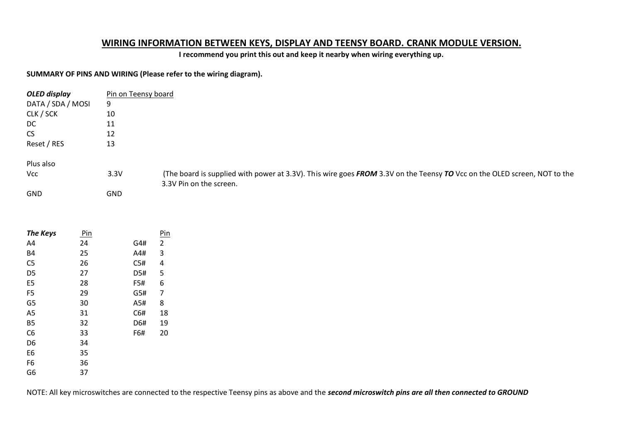# **WIRING INFORMATION BETWEEN KEYS, DISPLAY AND TEENSY BOARD. CRANK MODULE VERSION.**

**I recommend you print this out and keep it nearby when wiring everything up.**

## **SUMMARY OF PINS AND WIRING (Please refer to the wiring diagram).**

| OLED display      | Pin on Teensy board |                                                                                                                          |
|-------------------|---------------------|--------------------------------------------------------------------------------------------------------------------------|
| DATA / SDA / MOSI | 9                   |                                                                                                                          |
| CLK / SCK         | 10                  |                                                                                                                          |
| DC.               | 11                  |                                                                                                                          |
| <b>CS</b>         | 12                  |                                                                                                                          |
| Reset / RES       | 13                  |                                                                                                                          |
| Plus also         |                     |                                                                                                                          |
| <b>Vcc</b>        | 3.3V                | (The board is supplied with power at 3.3V). This wire goes FROM 3.3V on the Teensy TO Vcc on the OLED screen, NOT to the |
|                   |                     | 3.3V Pin on the screen.                                                                                                  |
| <b>GND</b>        | <b>GND</b>          |                                                                                                                          |

| <b>The Keys</b> | Pin |     | Pin |
|-----------------|-----|-----|-----|
| A4              | 24  | G4# | 2   |
| <b>B4</b>       | 25  | A4# | 3   |
| C <sub>5</sub>  | 26  | C5# | 4   |
| D <sub>5</sub>  | 27  | D5# | 5   |
| E <sub>5</sub>  | 28  | F5# | 6   |
| F <sub>5</sub>  | 29  | G5# | 7   |
| G <sub>5</sub>  | 30  | A5# | 8   |
| A <sub>5</sub>  | 31  | C6# | 18  |
| <b>B5</b>       | 32  | D6# | 19  |
| C <sub>6</sub>  | 33  | F6# | 20  |
| D6              | 34  |     |     |
| E <sub>6</sub>  | 35  |     |     |
| F <sub>6</sub>  | 36  |     |     |
| G <sub>6</sub>  | 37  |     |     |

NOTE: All key microswitches are connected to the respective Teensy pins as above and the *second microswitch pins are all then connected to GROUND*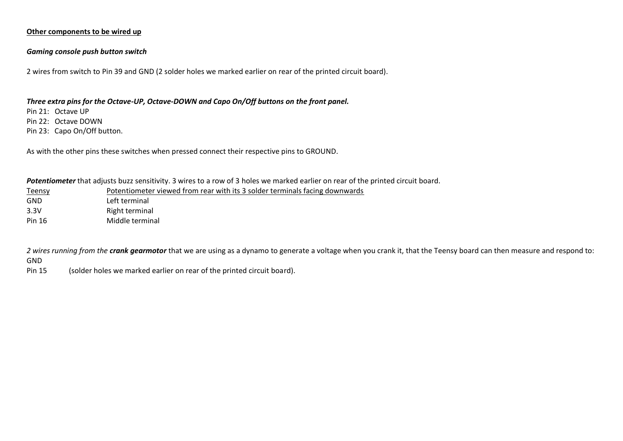### **Other components to be wired up**

#### *Gaming console push button switch*

2 wires from switch to Pin 39 and GND (2 solder holes we marked earlier on rear of the printed circuit board).

#### *Three extra pins for the Octave-UP, Octave-DOWN and Capo On/Off buttons on the front panel.*

Pin 21: Octave UP

Pin 22: Octave DOWN

Pin 23: Capo On/Off button.

As with the other pins these switches when pressed connect their respective pins to GROUND.

| Potentiometer that adjusts buzz sensitivity. 3 wires to a row of 3 holes we marked earlier on rear of the printed circuit board. |                                                                             |  |  |  |
|----------------------------------------------------------------------------------------------------------------------------------|-----------------------------------------------------------------------------|--|--|--|
| <b>Teensy</b>                                                                                                                    | Potentiometer viewed from rear with its 3 solder terminals facing downwards |  |  |  |
| GND                                                                                                                              | Left terminal                                                               |  |  |  |

3.3V Right terminal

Pin 16 Middle terminal

*2 wires running from the crank gearmotor* that we are using as a dynamo to generate a voltage when you crank it, that the Teensy board can then measure and respond to: GND

Pin 15 (solder holes we marked earlier on rear of the printed circuit board).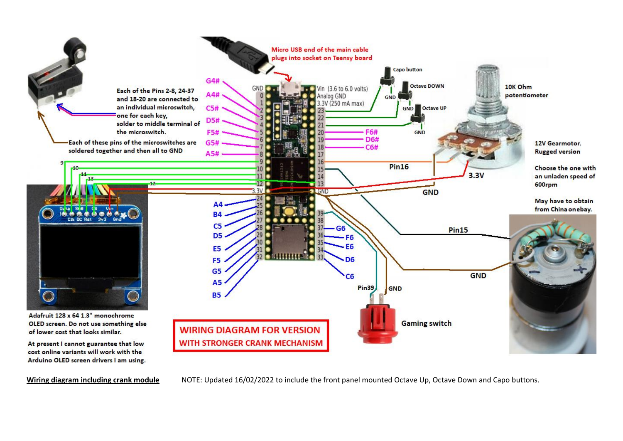

**Wiring diagram including crank module** NOTE: Updated 16/02/2022 to include the front panel mounted Octave Up, Octave Down and Capo buttons.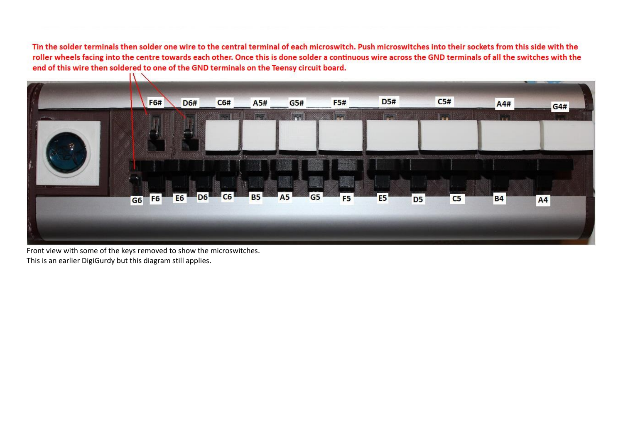Tin the solder terminals then solder one wire to the central terminal of each microswitch. Push microswitches into their sockets from this side with the roller wheels facing into the centre towards each other. Once this is done solder a continuous wire across the GND terminals of all the switches with the end of this wire then soldered to one of the GND terminals on the Teensy circuit board.



Front view with some of the keys removed to show the microswitches. This is an earlier DigiGurdy but this diagram still applies.